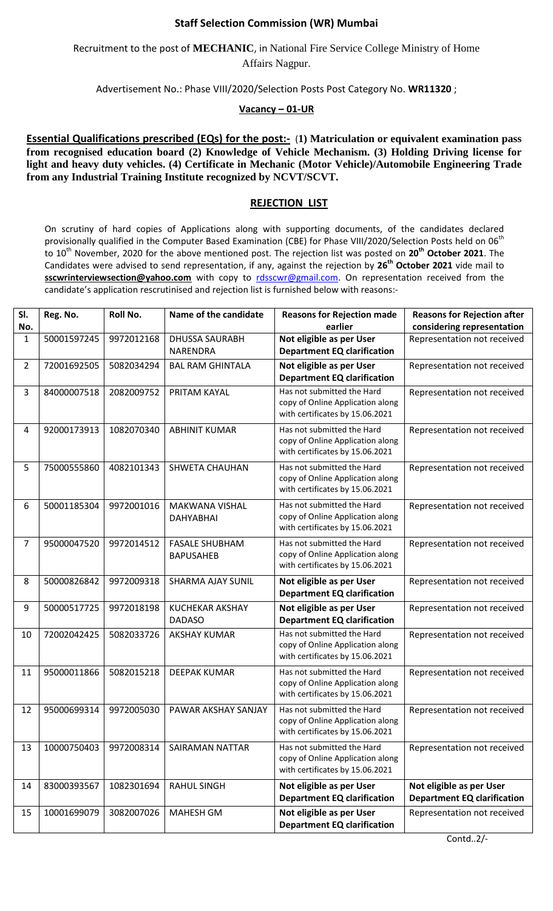## **Staff Selection Commission (WR) Mumbai**

Recruitment to the post of **MECHANIC**, in National Fire Service College Ministry of Home Affairs Nagpur.

Advertisement No.: Phase VIII/2020/Selection Posts Post Category No. **WR11320** ;

## **Vacancy – 01-UR**

**Essential Qualifications prescribed (EQs) for the post:-** (**1) Matriculation or equivalent examination pass from recognised education board (2) Knowledge of Vehicle Mechanism. (3) Holding Driving license for light and heavy duty vehicles. (4) Certificate in Mechanic (Motor Vehicle)/Automobile Engineering Trade from any Industrial Training Institute recognized by NCVT/SCVT.**

## **REJECTION LIST**

On scrutiny of hard copies of Applications along with supporting documents, of the candidates declared provisionally qualified in the Computer Based Examination (CBE) for Phase VIII/2020/Selection Posts held on 06<sup>th</sup> to 10th November, 2020 for the above mentioned post. The rejection list was posted on **20th October 2021**. The Candidates were advised to send representation, if any, against the rejection by **26th October 2021** vide mail to sscwrinterviewsection@yahoo.com with copy to [rdsscwr@gmail.com.](mailto:rdsscwr@gmail.com) On representation received from the candidate's application rescrutinised and rejection list is furnished below with reasons:-

| SI.<br>No. | Reg. No.    | Roll No.   | Name of the candidate                     | <b>Reasons for Rejection made</b><br>earlier                                                      | <b>Reasons for Rejection after</b><br>considering representation |
|------------|-------------|------------|-------------------------------------------|---------------------------------------------------------------------------------------------------|------------------------------------------------------------------|
| 1          | 50001597245 | 9972012168 | <b>DHUSSA SAURABH</b><br><b>NARENDRA</b>  | Not eligible as per User<br><b>Department EQ clarification</b>                                    | Representation not received                                      |
| 2          | 72001692505 | 5082034294 | <b>BAL RAM GHINTALA</b>                   | Not eligible as per User<br><b>Department EQ clarification</b>                                    | Representation not received                                      |
| 3          | 84000007518 | 2082009752 | PRITAM KAYAL                              | Has not submitted the Hard<br>copy of Online Application along<br>with certificates by 15.06.2021 | Representation not received                                      |
| 4          | 92000173913 | 1082070340 | <b>ABHINIT KUMAR</b>                      | Has not submitted the Hard<br>copy of Online Application along<br>with certificates by 15.06.2021 | Representation not received                                      |
| 5          | 75000555860 | 4082101343 | SHWETA CHAUHAN                            | Has not submitted the Hard<br>copy of Online Application along<br>with certificates by 15.06.2021 | Representation not received                                      |
| 6          | 50001185304 | 9972001016 | <b>MAKWANA VISHAL</b><br><b>DAHYABHAI</b> | Has not submitted the Hard<br>copy of Online Application along<br>with certificates by 15.06.2021 | Representation not received                                      |
| 7          | 95000047520 | 9972014512 | <b>FASALE SHUBHAM</b><br><b>BAPUSAHEB</b> | Has not submitted the Hard<br>copy of Online Application along<br>with certificates by 15.06.2021 | Representation not received                                      |
| 8          | 50000826842 | 9972009318 | <b>SHARMA AJAY SUNIL</b>                  | Not eligible as per User<br><b>Department EQ clarification</b>                                    | Representation not received                                      |
| 9          | 50000517725 | 9972018198 | <b>KUCHEKAR AKSHAY</b><br><b>DADASO</b>   | Not eligible as per User<br><b>Department EQ clarification</b>                                    | Representation not received                                      |
| 10         | 72002042425 | 5082033726 | <b>AKSHAY KUMAR</b>                       | Has not submitted the Hard<br>copy of Online Application along<br>with certificates by 15.06.2021 | Representation not received                                      |
| 11         | 95000011866 | 5082015218 | <b>DEEPAK KUMAR</b>                       | Has not submitted the Hard<br>copy of Online Application along<br>with certificates by 15.06.2021 | Representation not received                                      |
| 12         | 95000699314 |            | 9972005030   PAWAR AKSHAY SANJAY          | Has not submitted the Hard<br>copy of Online Application along<br>with certificates by 15.06.2021 | Representation not received                                      |
| 13         | 10000750403 | 9972008314 | SAIRAMAN NATTAR                           | Has not submitted the Hard<br>copy of Online Application along<br>with certificates by 15.06.2021 | Representation not received                                      |
| 14         | 83000393567 | 1082301694 | <b>RAHUL SINGH</b>                        | Not eligible as per User<br><b>Department EQ clarification</b>                                    | Not eligible as per User<br><b>Department EQ clarification</b>   |
| 15         | 10001699079 | 3082007026 | <b>MAHESH GM</b>                          | Not eligible as per User<br><b>Department EQ clarification</b>                                    | Representation not received                                      |

Contd..2/-